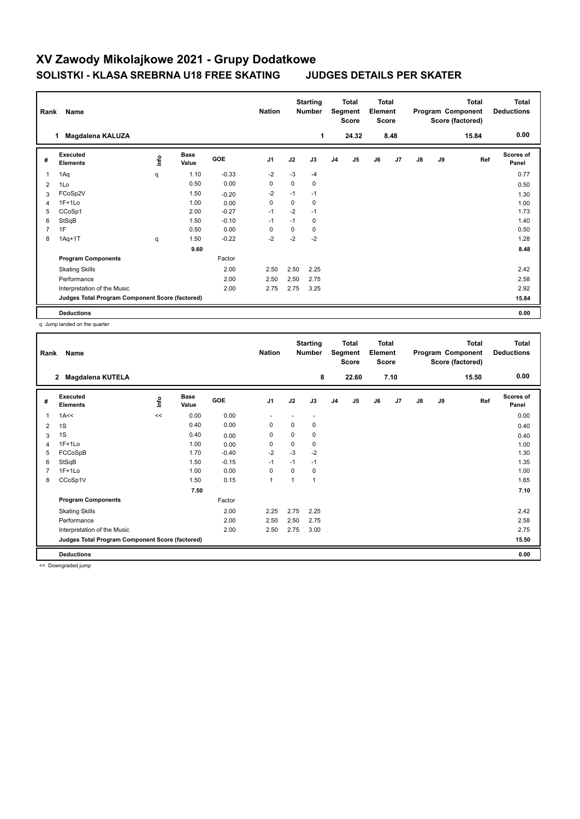#### **Total Program Component Deductions Total Score (factored) Total Element Segment Score Total Score Starting Rank Name Nation Nation # Executed Elements Base Value GOE J1 J2 J3 J4 J5 J6 J7 J8 J9 Scores of Panel** 1 1.10 -0.33 -2 -3 -4 **Ref**  1Aq q 0.77 **Info 1 Magdalena KALUZA 1 24.32 8.48 15.84 0.00** 2 1Lo 0.50 0.00 0 0 0 0.50 3 FCoSp2V 1.50 -0.20 -2 -1 -1 1.30 4 1F+1Lo 1.00 0.00 0 0 0 1.00 5 CCoSp1 2.00 -0.27 -1 -2 -1 1.73 6 StSqB 1.50 -0.10 -1 -1 0 1.40 7 1F 0.50 0.00 0 0 0 0.50 8 1Aq+1T q 1.50 -0.22 -2 -2 -2 1.28  **9.60 8.48 Program Components**  Skating Skills 2.50 2.50 2.25 2.00 2.42 Factor Performance 2.00 2.50 2.50 2.75 2.58 Interpretation of the Music 2.00 2.75 2.75 3.25 2.92 **Deductions 0.00 Judges Total Program Component Score (factored) 15.84**

q Jump landed on the quarter

| Rank | Name                                            |      |                      |         | <b>Nation</b>  |                | <b>Starting</b><br><b>Number</b> | <b>Total</b><br>Segment<br><b>Score</b> |       | <b>Total</b><br>Element<br><b>Score</b> |      | <b>Total</b><br>Program Component<br>Score (factored) |    |       | Total<br><b>Deductions</b> |
|------|-------------------------------------------------|------|----------------------|---------|----------------|----------------|----------------------------------|-----------------------------------------|-------|-----------------------------------------|------|-------------------------------------------------------|----|-------|----------------------------|
|      | 2<br>Magdalena KUTELA                           |      |                      |         |                |                | 8                                |                                         | 22.60 |                                         | 7.10 |                                                       |    | 15.50 | 0.00                       |
| #    | Executed<br><b>Elements</b>                     | lnfo | <b>Base</b><br>Value | GOE     | J <sub>1</sub> | J2             | J3                               | J <sub>4</sub>                          | J5    | J6                                      | J7   | $\mathsf{J}8$                                         | J9 | Ref   | Scores of<br>Panel         |
| 1    | 1A<<                                            | <<   | 0.00                 | 0.00    |                |                | ٠                                |                                         |       |                                         |      |                                                       |    |       | 0.00                       |
| 2    | 1S                                              |      | 0.40                 | 0.00    | 0              | 0              | 0                                |                                         |       |                                         |      |                                                       |    |       | 0.40                       |
| 3    | 1S                                              |      | 0.40                 | 0.00    | 0              | 0              | 0                                |                                         |       |                                         |      |                                                       |    |       | 0.40                       |
| 4    | $1F+1Lo$                                        |      | 1.00                 | 0.00    | 0              | $\Omega$       | 0                                |                                         |       |                                         |      |                                                       |    |       | 1.00                       |
| 5    | FCCoSpB                                         |      | 1.70                 | $-0.40$ | $-2$           | $-3$           | $-2$                             |                                         |       |                                         |      |                                                       |    |       | 1.30                       |
| 6    | StSqB                                           |      | 1.50                 | $-0.15$ | $-1$           | $-1$           | $-1$                             |                                         |       |                                         |      |                                                       |    |       | 1.35                       |
|      | $1F+1Lo$                                        |      | 1.00                 | 0.00    | 0              | $\Omega$       | 0                                |                                         |       |                                         |      |                                                       |    |       | 1.00                       |
| 8    | CCoSp1V                                         |      | 1.50                 | 0.15    | $\mathbf{1}$   | $\overline{1}$ | 1                                |                                         |       |                                         |      |                                                       |    |       | 1.65                       |
|      |                                                 |      | 7.50                 |         |                |                |                                  |                                         |       |                                         |      |                                                       |    |       | 7.10                       |
|      | <b>Program Components</b>                       |      |                      | Factor  |                |                |                                  |                                         |       |                                         |      |                                                       |    |       |                            |
|      | <b>Skating Skills</b>                           |      |                      | 2.00    | 2.25           | 2.75           | 2.25                             |                                         |       |                                         |      |                                                       |    |       | 2.42                       |
|      | Performance                                     |      |                      | 2.00    | 2.50           | 2.50           | 2.75                             |                                         |       |                                         |      |                                                       |    |       | 2.58                       |
|      | Interpretation of the Music                     |      |                      | 2.00    | 2.50           | 2.75           | 3.00                             |                                         |       |                                         |      |                                                       |    |       | 2.75                       |
|      | Judges Total Program Component Score (factored) |      |                      |         |                |                |                                  |                                         |       |                                         |      |                                                       |    |       | 15.50                      |
|      | <b>Deductions</b>                               |      |                      |         |                |                |                                  |                                         |       |                                         |      |                                                       |    |       | 0.00                       |

<< Downgraded jump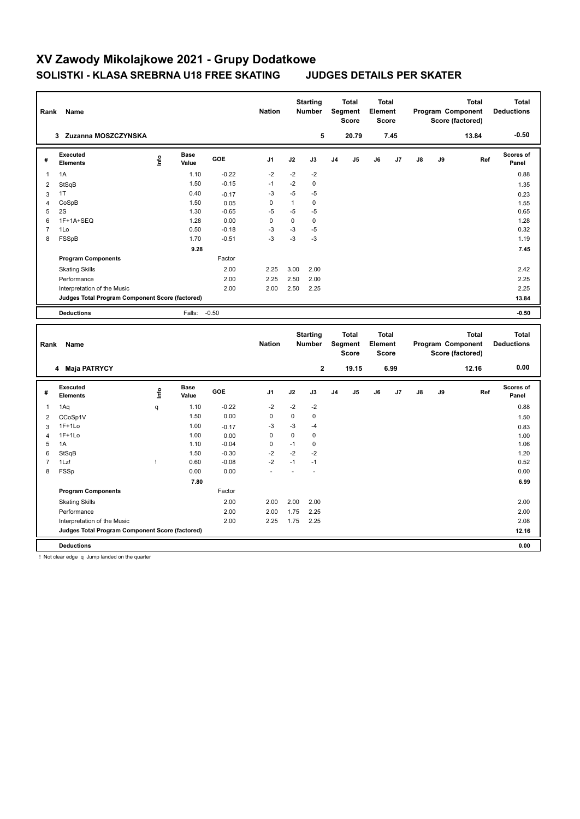#### **Total Deductions Total Program Component Score (factored) Total Element Score Total Segment Score Starting Rank Name Nation Number # Executed Elements Base Value GOE J1 J2 J3 J4 J5 J6 J7 J8 J9 Scores of Panel** 1 1.10 -0.22 -2 -2 -2 **Ref**  الحمادة المسابقة المسابقة المسابقة المسابقة المسابقة المسابقة المسابقة المسابقة المسابقة المسابقة المسابقة الم<br>1A 1.10 -0.22 -2 -2 -2<br>1A 1.10 -0.22 -2 -2 -2  **3 Zuzanna MOSZCZYNSKA 5 20.79 7.45 13.84 -0.50** 2 StSqB 1.50 -0.15 -1 -2 0 1.35  $3$  1T  $0.40$   $-0.17$   $-3$   $-5$   $-5$   $-5$   $0.23$ 4 CoSpB 1.50 0.05 0 1 0 1.55  $5$  2S  $1.30$   $-0.65$   $-5$   $-5$   $-5$ 6 1F+1A+SEQ 1.28 0.00 0 0 0 1.28 7 1Lo 0.50 -0.18 -3 -3 -5 0.32 8 FSSpB 1.70 -0.51 -3 -3 -3 1.19  **9.28** 7.45 **Program Components**  Skating Skills 2.00 2.25 3.00 2.00 Factor 2.00 2.42 Performance 2.00 2.25 2.50 2.00 2.25 Interpretation of the Music 2.00 2.00 2.50 2.25 2.25 **Deductions** Falls: -0.50 **-0.50 Judges Total Program Component Score (factored) 13.84 Total Deductions Total Program Component Score (factored) Total Element Score Total Segment Score Starting Rank Name Nation Number # Executed Elements Base Value GOE J1 J2 J3 J4 J5 J6 J7 J8 J9 Scores of Panel** 1 1.10 -0.22 -2 -2 -2 **Ref**  1Aq q 0.88 **Info 4 Maja PATRYCY 2 19.15 6.99 12.16 0.00** 2 CCoSp1V 1.50 0.00 0 0 0 1.50  $3$  1F+1Lo 1.00 -0.17 -3 -3 -4 0.83 4 1F+1Lo 1.00 0.00 0 0 0 1.00 5 1A 1.10 -0.04 0 -1 0 1.06 6 StSqB 1.50 -0.30 -2 -2 -2 1.20 7 1Lz! ! 0.60 -0.08 -2 -1 -1 0.52 8 FSSp 0.00 0.00 - - - 0.00  **7.80 6.99 Program Components**  Skating Skills 2.00 2.00 2.00 2.00 Factor 2.00 2.00 Performance 2.00 2.00 1.75 2.25 2.00 Interpretation of the Music 2.00 2.25 1.75 2.25 2.08 **Deductions 0.00 Judges Total Program Component Score (factored) 12.16**

! Not clear edge q Jump landed on the quarter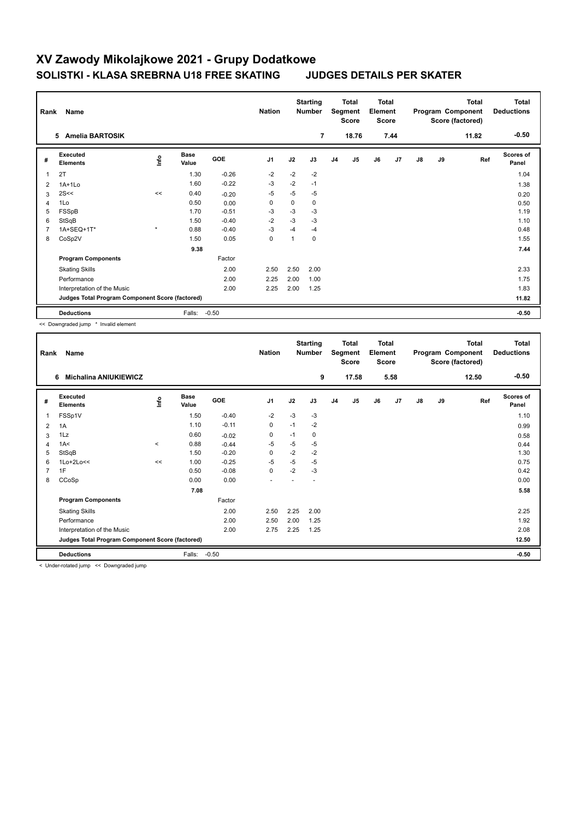|                | Name<br>Rank<br><b>Amelia BARTOSIK</b><br>5     |         |                      |            | <b>Nation</b>  |          | <b>Starting</b><br><b>Number</b><br>$\overline{7}$ | <b>Total</b><br>Segment<br><b>Score</b><br>18.76 |    | Total<br>Element<br><b>Score</b><br>7.44 |    | <b>Total</b><br>Program Component<br>Score (factored)<br>11.82 |    |     | <b>Total</b><br><b>Deductions</b><br>$-0.50$ |
|----------------|-------------------------------------------------|---------|----------------------|------------|----------------|----------|----------------------------------------------------|--------------------------------------------------|----|------------------------------------------|----|----------------------------------------------------------------|----|-----|----------------------------------------------|
|                |                                                 |         |                      |            |                |          |                                                    |                                                  |    |                                          |    |                                                                |    |     |                                              |
| #              | Executed<br><b>Elements</b>                     | Info    | <b>Base</b><br>Value | <b>GOE</b> | J <sub>1</sub> | J2       | J3                                                 | J <sub>4</sub>                                   | J5 | J6                                       | J7 | $\mathsf{J}8$                                                  | J9 | Ref | <b>Scores of</b><br>Panel                    |
|                | 2T                                              |         | 1.30                 | $-0.26$    | $-2$           | $-2$     | $-2$                                               |                                                  |    |                                          |    |                                                                |    |     | 1.04                                         |
| 2              | $1A+1Lo$                                        |         | 1.60                 | $-0.22$    | $-3$           | $-2$     | $-1$                                               |                                                  |    |                                          |    |                                                                |    |     | 1.38                                         |
| 3              | 2S<<                                            | <<      | 0.40                 | $-0.20$    | -5             | $-5$     | $-5$                                               |                                                  |    |                                          |    |                                                                |    |     | 0.20                                         |
| $\overline{4}$ | 1Lo                                             |         | 0.50                 | 0.00       | $\Omega$       | $\Omega$ | 0                                                  |                                                  |    |                                          |    |                                                                |    |     | 0.50                                         |
| 5              | FSSpB                                           |         | 1.70                 | $-0.51$    | $-3$           | $-3$     | $-3$                                               |                                                  |    |                                          |    |                                                                |    |     | 1.19                                         |
| 6              | StSqB                                           |         | 1.50                 | $-0.40$    | $-2$           | $-3$     | $-3$                                               |                                                  |    |                                          |    |                                                                |    |     | 1.10                                         |
| 7              | 1A+SEQ+1T*                                      | $\star$ | 0.88                 | $-0.40$    | $-3$           | $-4$     | $-4$                                               |                                                  |    |                                          |    |                                                                |    |     | 0.48                                         |
| 8              | CoSp2V                                          |         | 1.50                 | 0.05       | $\mathbf 0$    | 1        | 0                                                  |                                                  |    |                                          |    |                                                                |    |     | 1.55                                         |
|                |                                                 |         | 9.38                 |            |                |          |                                                    |                                                  |    |                                          |    |                                                                |    |     | 7.44                                         |
|                | <b>Program Components</b>                       |         |                      | Factor     |                |          |                                                    |                                                  |    |                                          |    |                                                                |    |     |                                              |
|                | <b>Skating Skills</b>                           |         |                      | 2.00       | 2.50           | 2.50     | 2.00                                               |                                                  |    |                                          |    |                                                                |    |     | 2.33                                         |
|                | Performance                                     |         |                      | 2.00       | 2.25           | 2.00     | 1.00                                               |                                                  |    |                                          |    |                                                                |    |     | 1.75                                         |
|                | Interpretation of the Music                     |         |                      | 2.00       | 2.25           | 2.00     | 1.25                                               |                                                  |    |                                          |    |                                                                |    |     | 1.83                                         |
|                | Judges Total Program Component Score (factored) |         |                      |            |                |          |                                                    |                                                  |    |                                          |    |                                                                |    |     | 11.82                                        |
|                | <b>Deductions</b>                               |         | Falls:               | $-0.50$    |                |          |                                                    |                                                  |    |                                          |    |                                                                |    |     | $-0.50$                                      |

<< Downgraded jump \* Invalid element

|                | Name<br>Rank                                    |          |                      |         | <b>Nation</b>            | <b>Starting</b><br><b>Number</b> |      | <b>Total</b><br>Segment<br><b>Score</b> |                | <b>Total</b><br>Element<br><b>Score</b> |      | Program Component<br>Score (factored) |    | <b>Total</b> | Total<br><b>Deductions</b> |
|----------------|-------------------------------------------------|----------|----------------------|---------|--------------------------|----------------------------------|------|-----------------------------------------|----------------|-----------------------------------------|------|---------------------------------------|----|--------------|----------------------------|
|                | <b>Michalina ANIUKIEWICZ</b><br>6               |          |                      |         |                          |                                  | 9    |                                         | 17.58          |                                         | 5.58 |                                       |    | 12.50        | $-0.50$                    |
| #              | Executed<br><b>Elements</b>                     | ۴ů       | <b>Base</b><br>Value | GOE     | J <sub>1</sub>           | J2                               | J3   | J <sub>4</sub>                          | J <sub>5</sub> | J6                                      | J7   | $\mathsf{J}8$                         | J9 | Ref          | <b>Scores of</b><br>Panel  |
| 1              | FSSp1V                                          |          | 1.50                 | $-0.40$ | $-2$                     | $-3$                             | $-3$ |                                         |                |                                         |      |                                       |    |              | 1.10                       |
| 2              | 1A                                              |          | 1.10                 | $-0.11$ | 0                        | $-1$                             | $-2$ |                                         |                |                                         |      |                                       |    |              | 0.99                       |
| 3              | 1Lz                                             |          | 0.60                 | $-0.02$ | $\mathbf 0$              | $-1$                             | 0    |                                         |                |                                         |      |                                       |    |              | 0.58                       |
| $\overline{4}$ | 1A<                                             | $\hat{}$ | 0.88                 | $-0.44$ | $-5$                     | $-5$                             | $-5$ |                                         |                |                                         |      |                                       |    |              | 0.44                       |
| 5              | StSqB                                           |          | 1.50                 | $-0.20$ | $\mathbf 0$              | $-2$                             | $-2$ |                                         |                |                                         |      |                                       |    |              | 1.30                       |
| 6              | $1$ Lo+ $2$ Lo<<                                | <<       | 1.00                 | $-0.25$ | $-5$                     | $-5$                             | $-5$ |                                         |                |                                         |      |                                       |    |              | 0.75                       |
| $\overline{7}$ | 1F                                              |          | 0.50                 | $-0.08$ | 0                        | $-2$                             | $-3$ |                                         |                |                                         |      |                                       |    |              | 0.42                       |
| 8              | CCoSp                                           |          | 0.00                 | 0.00    | $\overline{\phantom{a}}$ |                                  |      |                                         |                |                                         |      |                                       |    |              | 0.00                       |
|                |                                                 |          | 7.08                 |         |                          |                                  |      |                                         |                |                                         |      |                                       |    |              | 5.58                       |
|                | <b>Program Components</b>                       |          |                      | Factor  |                          |                                  |      |                                         |                |                                         |      |                                       |    |              |                            |
|                | <b>Skating Skills</b>                           |          |                      | 2.00    | 2.50                     | 2.25                             | 2.00 |                                         |                |                                         |      |                                       |    |              | 2.25                       |
|                | Performance                                     |          |                      | 2.00    | 2.50                     | 2.00                             | 1.25 |                                         |                |                                         |      |                                       |    |              | 1.92                       |
|                | Interpretation of the Music                     |          |                      | 2.00    | 2.75                     | 2.25                             | 1.25 |                                         |                |                                         |      |                                       |    |              | 2.08                       |
|                | Judges Total Program Component Score (factored) |          |                      |         |                          |                                  |      |                                         |                |                                         |      |                                       |    |              | 12.50                      |
|                | <b>Deductions</b>                               |          | Falls:               | $-0.50$ |                          |                                  |      |                                         |                |                                         |      |                                       |    |              | $-0.50$                    |

< Under-rotated jump << Downgraded jump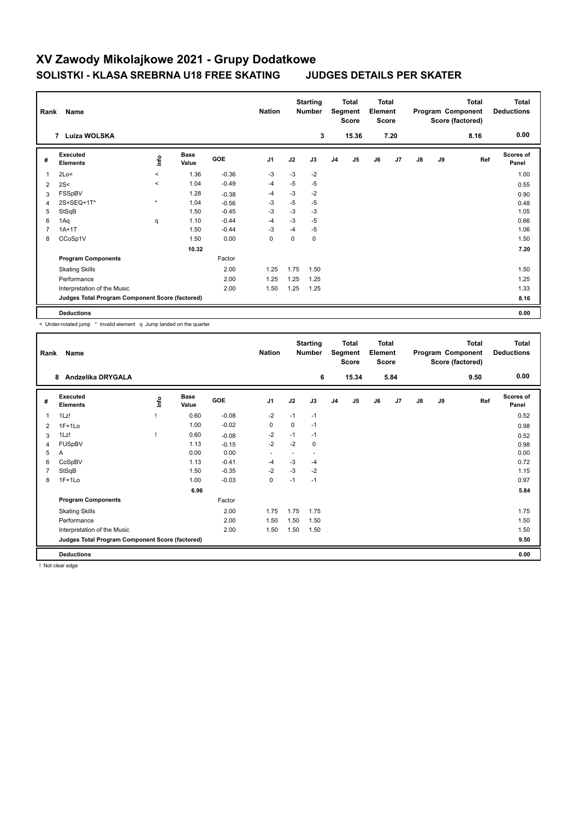|                | Name<br>Rank                                    |          |                      |            |                |      | <b>Starting</b><br><b>Number</b> |                | <b>Total</b><br>Segment<br><b>Score</b> |    | <b>Total</b><br>Element<br><b>Score</b> |    |    | <b>Total</b><br>Program Component<br>Score (factored) | <b>Total</b><br><b>Deductions</b> |
|----------------|-------------------------------------------------|----------|----------------------|------------|----------------|------|----------------------------------|----------------|-----------------------------------------|----|-----------------------------------------|----|----|-------------------------------------------------------|-----------------------------------|
|                | Luiza WOLSKA<br>7                               |          |                      |            |                |      | 3                                |                | 15.36                                   |    | 7.20                                    |    |    | 8.16                                                  | 0.00                              |
| #              | Executed<br><b>Elements</b>                     | lnfo     | <b>Base</b><br>Value | <b>GOE</b> | J <sub>1</sub> | J2   | J3                               | J <sub>4</sub> | J <sub>5</sub>                          | J6 | J7                                      | J8 | J9 | Ref                                                   | Scores of<br>Panel                |
| 1              | 2Lo<                                            | $\hat{}$ | 1.36                 | $-0.36$    | -3             | $-3$ | $-2$                             |                |                                         |    |                                         |    |    |                                                       | 1.00                              |
| 2              | 2S<                                             | $\prec$  | 1.04                 | $-0.49$    | $-4$           | $-5$ | $-5$                             |                |                                         |    |                                         |    |    |                                                       | 0.55                              |
| 3              | FSSpBV                                          |          | 1.28                 | $-0.38$    | $-4$           | $-3$ | $-2$                             |                |                                         |    |                                         |    |    |                                                       | 0.90                              |
| 4              | 2S+SEQ+1T*                                      | $\star$  | 1.04                 | $-0.56$    | -3             | $-5$ | $-5$                             |                |                                         |    |                                         |    |    |                                                       | 0.48                              |
| 5              | StSqB                                           |          | 1.50                 | $-0.45$    | -3             | $-3$ | $-3$                             |                |                                         |    |                                         |    |    |                                                       | 1.05                              |
| 6              | 1Aq                                             | q        | 1.10                 | $-0.44$    | $-4$           | $-3$ | $-5$                             |                |                                         |    |                                         |    |    |                                                       | 0.66                              |
| $\overline{7}$ | $1A+1T$                                         |          | 1.50                 | $-0.44$    | $-3$           | $-4$ | $-5$                             |                |                                         |    |                                         |    |    |                                                       | 1.06                              |
| 8              | CCoSp1V                                         |          | 1.50                 | 0.00       | $\mathbf 0$    | 0    | $\mathbf 0$                      |                |                                         |    |                                         |    |    |                                                       | 1.50                              |
|                |                                                 |          | 10.32                |            |                |      |                                  |                |                                         |    |                                         |    |    |                                                       | 7.20                              |
|                | <b>Program Components</b>                       |          |                      | Factor     |                |      |                                  |                |                                         |    |                                         |    |    |                                                       |                                   |
|                | <b>Skating Skills</b>                           |          |                      | 2.00       | 1.25           | 1.75 | 1.50                             |                |                                         |    |                                         |    |    |                                                       | 1.50                              |
|                | Performance                                     |          |                      | 2.00       | 1.25           | 1.25 | 1.25                             |                |                                         |    |                                         |    |    |                                                       | 1.25                              |
|                | Interpretation of the Music                     |          |                      | 2.00       | 1.50           | 1.25 | 1.25                             |                |                                         |    |                                         |    |    |                                                       | 1.33                              |
|                | Judges Total Program Component Score (factored) |          |                      |            |                |      |                                  |                |                                         |    |                                         |    |    |                                                       | 8.16                              |
|                | <b>Deductions</b>                               |          |                      |            |                |      |                                  |                |                                         |    |                                         |    |    |                                                       | 0.00                              |

< Under-rotated jump \* Invalid element q Jump landed on the quarter

| Rank           | Name                                            |      |                      |         | <b>Nation</b>            |      | <b>Starting</b><br><b>Number</b> | <b>Total</b><br>Segment<br>Score |       | <b>Total</b><br>Element<br><b>Score</b> |      | Program Component |    | <b>Total</b><br>Score (factored) | Total<br><b>Deductions</b> |
|----------------|-------------------------------------------------|------|----------------------|---------|--------------------------|------|----------------------------------|----------------------------------|-------|-----------------------------------------|------|-------------------|----|----------------------------------|----------------------------|
|                | Andzelika DRYGALA<br>8                          |      |                      |         |                          |      | 6                                |                                  | 15.34 |                                         | 5.84 |                   |    | 9.50                             | 0.00                       |
| #              | Executed<br><b>Elements</b>                     | lnfo | <b>Base</b><br>Value | GOE     | J1                       | J2   | J3                               | J <sub>4</sub>                   | J5    | J6                                      | J7   | $\mathsf{J}8$     | J9 | Ref                              | Scores of<br>Panel         |
| 1              | 1Lz!                                            |      | 0.60                 | $-0.08$ | $-2$                     | $-1$ | $-1$                             |                                  |       |                                         |      |                   |    |                                  | 0.52                       |
| 2              | $1F+1Lo$                                        |      | 1.00                 | $-0.02$ | 0                        | 0    | $-1$                             |                                  |       |                                         |      |                   |    |                                  | 0.98                       |
| 3              | 1Lz!                                            |      | 0.60                 | $-0.08$ | $-2$                     | $-1$ | $-1$                             |                                  |       |                                         |      |                   |    |                                  | 0.52                       |
| 4              | FUSpBV                                          |      | 1.13                 | $-0.15$ | $-2$                     | $-2$ | 0                                |                                  |       |                                         |      |                   |    |                                  | 0.98                       |
| 5              | A                                               |      | 0.00                 | 0.00    | $\overline{\phantom{a}}$ |      | ٠                                |                                  |       |                                         |      |                   |    |                                  | 0.00                       |
| 6              | CoSpBV                                          |      | 1.13                 | $-0.41$ | $-4$                     | $-3$ | -4                               |                                  |       |                                         |      |                   |    |                                  | 0.72                       |
| $\overline{7}$ | StSqB                                           |      | 1.50                 | $-0.35$ | $-2$                     | $-3$ | $-2$                             |                                  |       |                                         |      |                   |    |                                  | 1.15                       |
| 8              | $1F+1Lo$                                        |      | 1.00                 | $-0.03$ | 0                        | $-1$ | $-1$                             |                                  |       |                                         |      |                   |    |                                  | 0.97                       |
|                |                                                 |      | 6.96                 |         |                          |      |                                  |                                  |       |                                         |      |                   |    |                                  | 5.84                       |
|                | <b>Program Components</b>                       |      |                      | Factor  |                          |      |                                  |                                  |       |                                         |      |                   |    |                                  |                            |
|                | <b>Skating Skills</b>                           |      |                      | 2.00    | 1.75                     | 1.75 | 1.75                             |                                  |       |                                         |      |                   |    |                                  | 1.75                       |
|                | Performance                                     |      |                      | 2.00    | 1.50                     | 1.50 | 1.50                             |                                  |       |                                         |      |                   |    |                                  | 1.50                       |
|                | Interpretation of the Music                     |      |                      | 2.00    | 1.50                     | 1.50 | 1.50                             |                                  |       |                                         |      |                   |    |                                  | 1.50                       |
|                | Judges Total Program Component Score (factored) |      |                      |         |                          |      |                                  |                                  |       |                                         |      |                   |    |                                  | 9.50                       |
|                | <b>Deductions</b>                               |      |                      |         |                          |      |                                  |                                  |       |                                         |      |                   |    |                                  | 0.00                       |

! Not clear edge